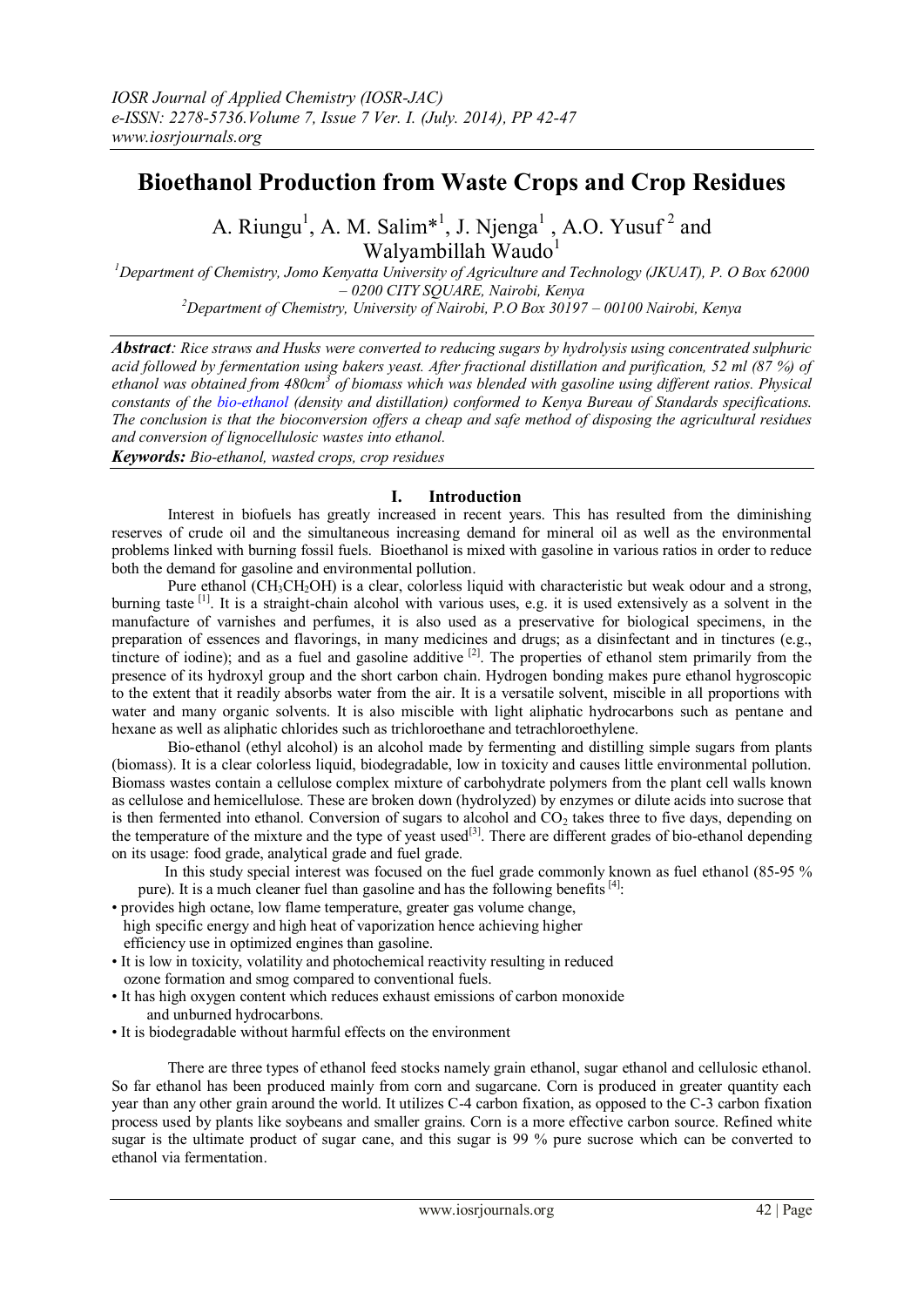# **Bioethanol Production from Waste Crops and Crop Residues**

A. Riungu<sup>1</sup>, A. M. Salim<sup>\*1</sup>, J. Njenga<sup>1</sup>, A.O. Yusuf<sup>2</sup> and Walyambillah Waudo<sup>1</sup>

*<sup>1</sup>Department of Chemistry, Jomo Kenyatta University of Agriculture and Technology (JKUAT), P. O Box 62000 – 0200 CITY SQUARE, Nairobi, Kenya <sup>2</sup>Department of Chemistry, University of Nairobi, P.O Box 30197 – 00100 Nairobi, Kenya*

*Abstract: Rice straws and Husks were converted to reducing sugars by hydrolysis using concentrated sulphuric acid followed by fermentation using bakers yeast. After fractional distillation and purification, 52 ml (87 %) of*  ethanol was obtained from 480cm<sup>3</sup> of biomass which was blended with gasoline using different ratios. Physical *constants of the bio-ethanol (density and distillation) conformed to Kenya Bureau of Standards specifications. The conclusion is that the bioconversion offers a cheap and safe method of disposing the agricultural residues and conversion of lignocellulosic wastes into ethanol. Keywords: Bio-ethanol, wasted crops, crop residues*

## **I. Introduction**

Interest in biofuels has greatly increased in recent years. This has resulted from the diminishing reserves of crude oil and the simultaneous increasing demand for mineral oil as well as the environmental problems linked with burning fossil fuels. Bioethanol is mixed with gasoline in various ratios in order to reduce both the demand for gasoline and environmental pollution.

Pure ethanol  $(CH_3CH_2OH)$  is a clear, colorless liquid with characteristic but weak odour and a strong, burning taste <sup>[1]</sup>. It is a straight-chain alcohol with various uses, e.g. it is used extensively as a solvent in the manufacture of varnishes and perfumes, it is also used as a preservative for biological specimens, in the preparation of essences and flavorings, in many medicines and drugs; as a disinfectant and in tinctures (e.g., tincture of iodine); and as a fuel and gasoline additive <sup>[2]</sup>. The properties of ethanol stem primarily from the presence of its hydroxyl group and the short carbon chain. Hydrogen bonding makes pure ethanol hygroscopic to the extent that it readily absorbs water from the air. It is a versatile solvent, [miscible](http://en.wikipedia.org/wiki/Miscible) in all proportions with water and many organic solvents. It is also miscible with light aliphatic hydrocarbons such as [pentane](http://en.wikipedia.org/wiki/Pentane) and [hexane](http://en.wikipedia.org/wiki/Hexane) as well as aliphatic chlorides such as [trichloroethane](http://en.wikipedia.org/wiki/1%2C1%2C1-Trichloroethane) and [tetrachloroethylene.](http://en.wikipedia.org/wiki/Tetrachloroethylene)

Bio-ethanol (ethyl alcohol) is an alcohol made by fermenting and distilling simple sugars from plants (biomass). It is a clear colorless liquid, biodegradable, low in toxicity and causes little environmental pollution. Biomass wastes contain a cellulose complex mixture of carbohydrate polymers from the plant cell walls known as cellulose and hemicellulose. These are broken down (hydrolyzed) by enzymes or dilute acids into sucrose that is then fermented into ethanol. Conversion of sugars to alcohol and  $CO<sub>2</sub>$  takes three to five days, depending on the temperature of the mixture and the type of yeast used<sup>[3]</sup>. There are different grades of bio-ethanol depending on its usage: food grade, analytical grade and fuel grade.

In this study special interest was focused on the fuel grade commonly known as fuel ethanol (85-95 % pure). It is a much cleaner fuel than gasoline and has the following benefits  $[4]$ :

• provides high octane, low flame temperature, greater gas volume change,

- high specific energy and high heat of vaporization hence achieving higher efficiency use in optimized engines than gasoline.
- It is low in toxicity, volatility and photochemical reactivity resulting in reduced ozone formation and smog compared to conventional fuels.
- It has high oxygen content which reduces exhaust emissions of carbon monoxide and unburned hydrocarbons.
- It is biodegradable without harmful effects on the environment

There are three types of ethanol feed stocks namely grain ethanol, sugar ethanol and cellulosic ethanol. So far ethanol has been produced mainly from corn and sugarcane. Corn is produced in greater quantity each year than any other grain around the world. It utilizes C-4 carbon fixation, as opposed to the C-3 carbon fixation process used by plants like soybeans and smaller grains. Corn is a more effective carbon source. Refined white sugar is the ultimate product of sugar cane, and this sugar is 99 % pure sucrose which can be converted to ethanol via fermentation.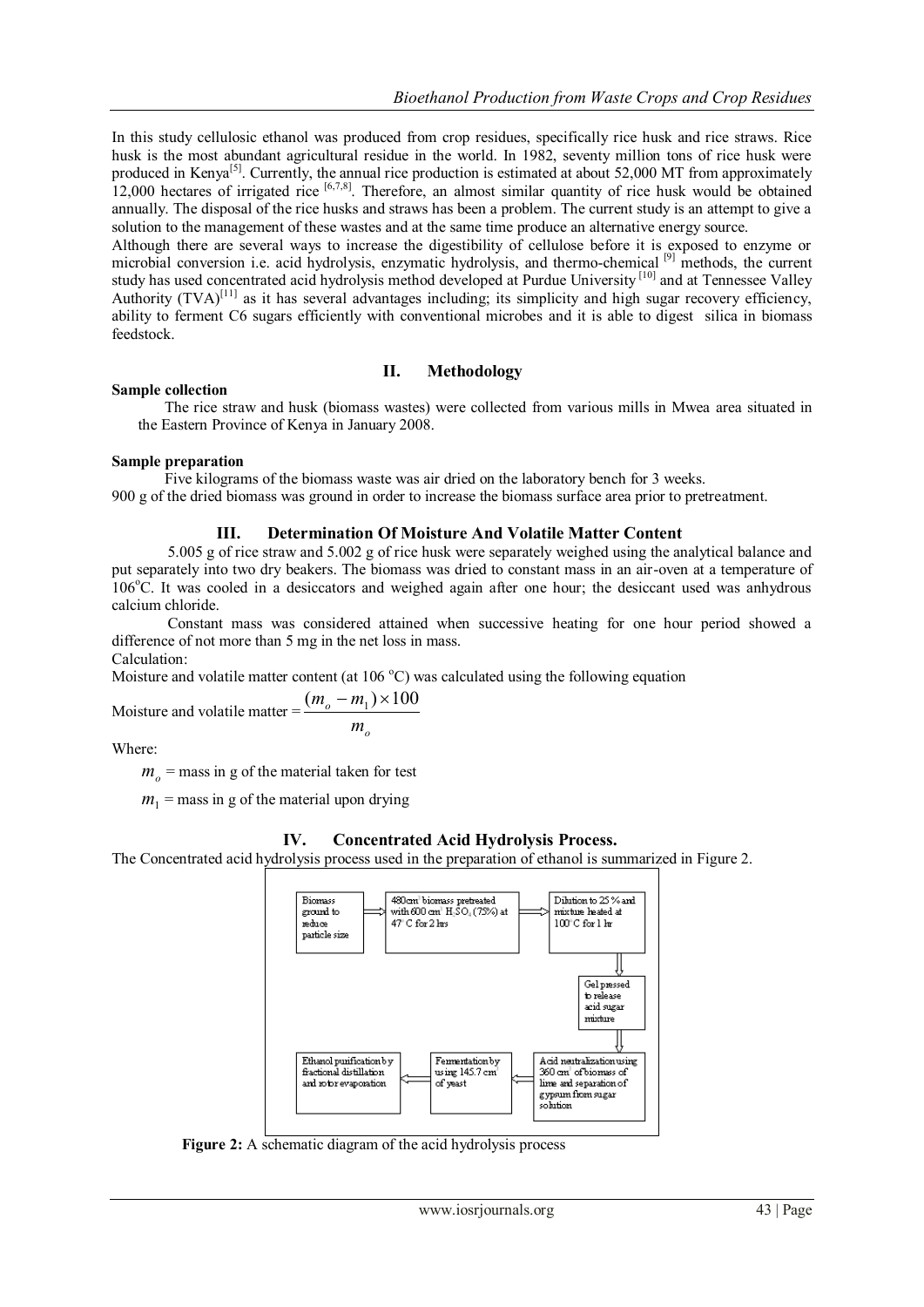In this study cellulosic ethanol was produced from crop residues, specifically rice husk and rice straws. Rice husk is the most abundant agricultural residue in the world. In 1982, seventy million tons of rice husk were produced in Kenya<sup>[5]</sup>. Currently, the annual rice production is estimated at about 52,000 MT from approximately 12,000 hectares of irrigated rice  $[6,7,8]$ . Therefore, an almost similar quantity of rice husk would be obtained annually. The disposal of the rice husks and straws has been a problem. The current study is an attempt to give a solution to the management of these wastes and at the same time produce an alternative energy source.

Although there are several ways to increase the digestibility of cellulose before it is exposed to enzyme or microbial conversion i.e. acid hydrolysis, enzymatic hydrolysis, and thermo-chemical [9] methods, the current study has used concentrated acid hydrolysis method developed at Purdue University [10] and at Tennessee Valley Authority  $(TVA)^{[11]}$  as it has several advantages including; its simplicity and high sugar recovery efficiency, ability to ferment C6 sugars efficiently with conventional microbes and it is able to digest silica in biomass feedstock.

## **II. Methodology**

#### **Sample collection**

The rice straw and husk (biomass wastes) were collected from various mills in Mwea area situated in the Eastern Province of Kenya in January 2008.

#### **Sample preparation**

Five kilograms of the biomass waste was air dried on the laboratory bench for 3 weeks. 900 g of the dried biomass was ground in order to increase the biomass surface area prior to pretreatment.

# **III. Determination Of Moisture And Volatile Matter Content**

5.005 g of rice straw and 5.002 g of rice husk were separately weighed using the analytical balance and put separately into two dry beakers. The biomass was dried to constant mass in an air-oven at a temperature of 106<sup>o</sup>C. It was cooled in a desiccators and weighed again after one hour; the desiccant used was anhydrous calcium chloride.

Constant mass was considered attained when successive heating for one hour period showed a difference of not more than 5 mg in the net loss in mass. Calculation:

Moisture and volatile matter content (at  $106^{\circ}$ C) was calculated using the following equation

*o m*

Moisture and volatile matter = 
$$
\frac{(m_o - m_1) \times 100}{}
$$

Where:

 $m<sub>o</sub>$  = mass in g of the material taken for test

 $m_1$  = mass in g of the material upon drying

# **IV. Concentrated Acid Hydrolysis Process.**

The Concentrated acid hydrolysis process used in the preparation of ethanol is summarized in Figure 2.



 **Figure 2:** A schematic diagram of the acid hydrolysis process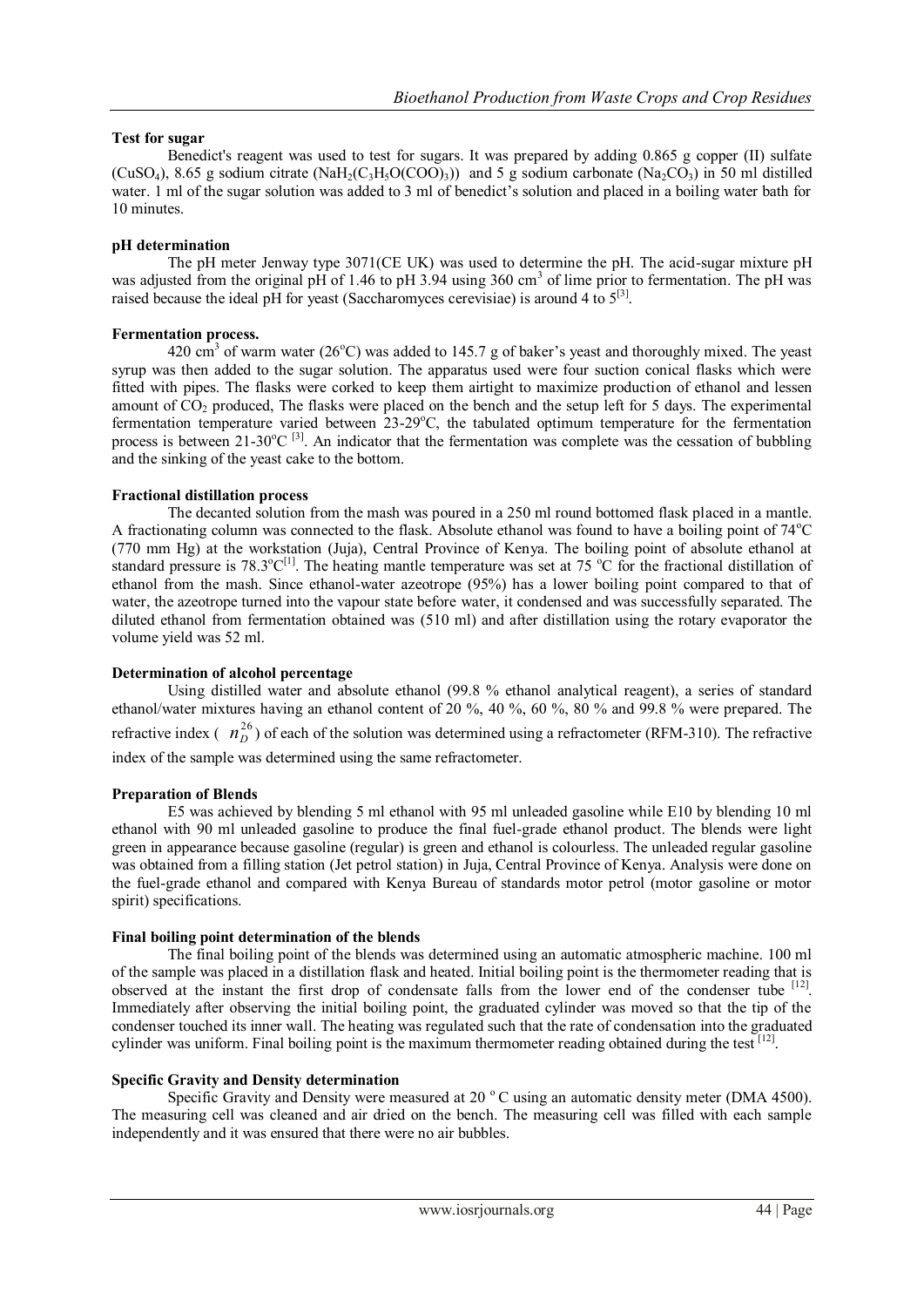## **Test for sugar**

Benedict's reagent was used to test for sugars. It was prepared by adding 0.865 g copper (II) sulfate (CuSO<sub>4</sub>), 8.65 g sodium citrate (NaH<sub>2</sub>(C<sub>3</sub>H<sub>5</sub>O(COO)<sub>3</sub>)) and 5 g sodium carbonate (Na<sub>2</sub>CO<sub>3</sub>) in 50 ml distilled water. 1 ml of the sugar solution was added to 3 ml of benedict's solution and placed in a boiling water bath for 10 minutes.

#### **pH determination**

The pH meter Jenway type 3071(CE UK) was used to determine the pH. The acid-sugar mixture pH was adjusted from the original pH of 1.46 to pH 3.94 using 360 cm<sup>3</sup> of lime prior to fermentation. The pH was raised because the ideal pH for yeast (Saccharomyces cerevisiae) is around 4 to  $5^{[3]}$ .

## **Fermentation process.**

420 cm<sup>3</sup> of warm water (26<sup>o</sup>C) was added to 145.7 g of baker's yeast and thoroughly mixed. The yeast syrup was then added to the sugar solution. The apparatus used were four suction conical flasks which were fitted with pipes. The flasks were corked to keep them airtight to maximize production of ethanol and lessen amount of CO<sub>2</sub> produced, The flasks were placed on the bench and the setup left for 5 days. The experimental fermentation temperature varied between  $23-29^{\circ}$ C, the tabulated optimum temperature for the fermentation process is between  $21-30^{\circ}C^{3}$ . An indicator that the fermentation was complete was the cessation of bubbling and the sinking of the yeast cake to the bottom.

## **Fractional distillation process**

The decanted solution from the mash was poured in a 250 ml round bottomed flask placed in a mantle. A fractionating column was connected to the flask. Absolute ethanol was found to have a boiling point of  $74^{\circ}$ C (770 mm Hg) at the workstation (Juja), Central Province of Kenya. The boiling point of absolute ethanol at standard pressure is  $78.3^{\circ}C^{[1]}$ . The heating mantle temperature was set at 75  $^{\circ}C$  for the fractional distillation of ethanol from the mash. Since ethanol-water azeotrope (95%) has a lower boiling point compared to that of water, the azeotrope turned into the vapour state before water, it condensed and was successfully separated. The diluted ethanol from fermentation obtained was (510 ml) and after distillation using the rotary evaporator the volume yield was 52 ml.

# **Determination of alcohol percentage**

Using distilled water and absolute ethanol (99.8 % ethanol analytical reagent), a series of standard ethanol/water mixtures having an ethanol content of 20 %, 40 %, 60 %, 80 % and 99.8 % were prepared. The refractive index  $(\frac{n_D^{26}}{D})$  of each of the solution was determined using a refractometer (RFM-310). The refractive index of the sample was determined using the same refractometer.

#### **Preparation of Blends**

E5 was achieved by blending 5 ml ethanol with 95 ml unleaded gasoline while E10 by blending 10 ml ethanol with 90 ml unleaded gasoline to produce the final fuel-grade ethanol product. The blends were light green in appearance because gasoline (regular) is green and ethanol is colourless. The unleaded regular gasoline was obtained from a filling station (Jet petrol station) in Juja, Central Province of Kenya. Analysis were done on the fuel-grade ethanol and compared with Kenya Bureau of standards motor petrol (motor gasoline or motor spirit) specifications.

#### **Final boiling point determination of the blends**

The final boiling point of the blends was determined using an automatic atmospheric machine. 100 ml of the sample was placed in a distillation flask and heated. Initial boiling point is the thermometer reading that is observed at the instant the first drop of condensate falls from the lower end of the condenser tube [12]. Immediately after observing the initial boiling point, the graduated cylinder was moved so that the tip of the condenser touched its inner wall. The heating was regulated such that the rate of condensation into the graduated cylinder was uniform. Final boiling point is the maximum thermometer reading obtained during the test  $[12]$ .

# **Specific Gravity and Density determination**

Specific Gravity and Density were measured at 20  $\degree$ C using an automatic density meter (DMA 4500). The measuring cell was cleaned and air dried on the bench. The measuring cell was filled with each sample independently and it was ensured that there were no air bubbles.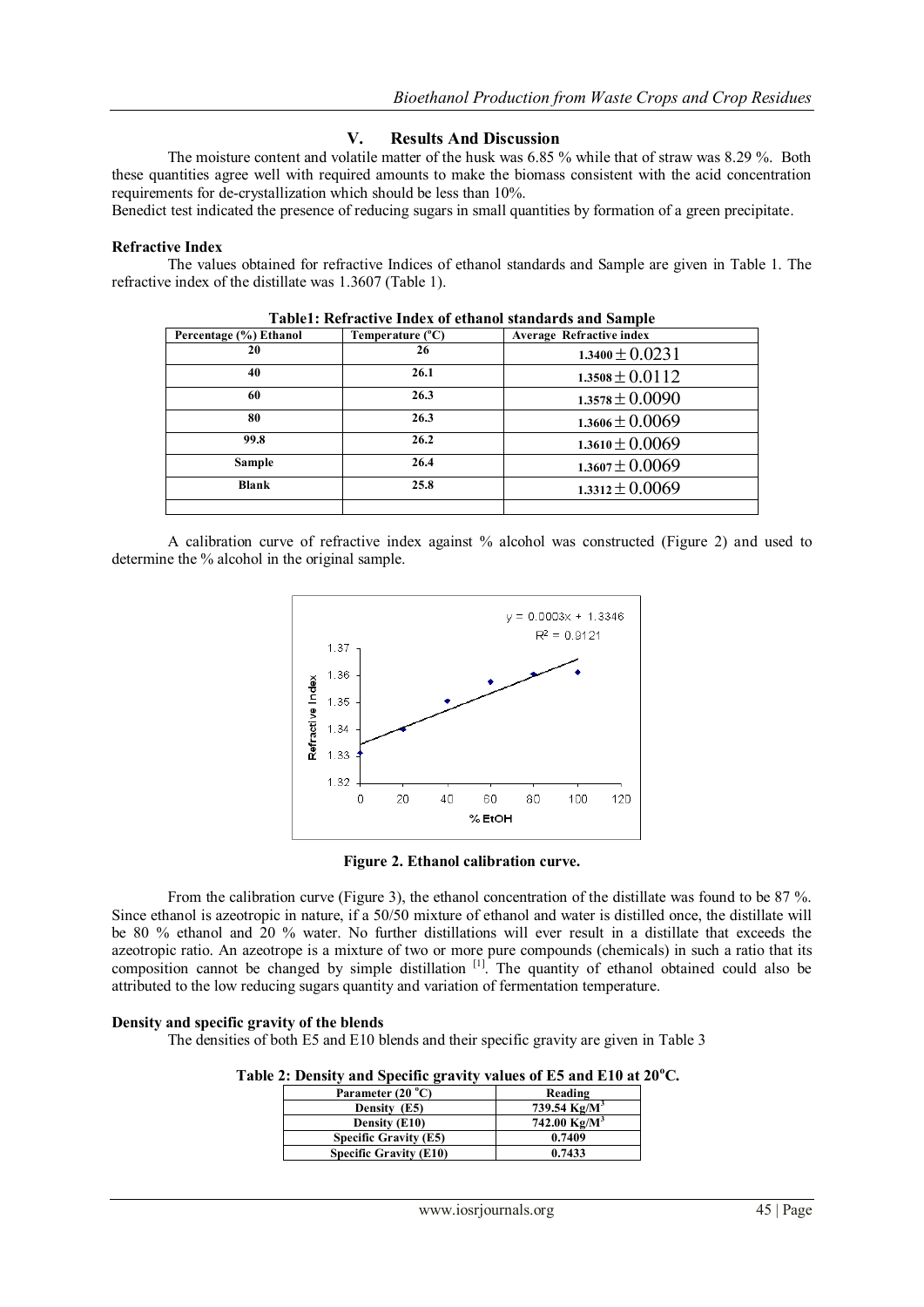## **V. Results And Discussion**

The moisture content and volatile matter of the husk was 6.85 % while that of straw was 8.29 %. Both these quantities agree well with required amounts to make the biomass consistent with the acid concentration requirements for de-crystallization which should be less than 10%.

Benedict test indicated the presence of reducing sugars in small quantities by formation of a green precipitate.

#### **Refractive Index**

The values obtained for refractive Indices of ethanol standards and Sample are given in Table 1. The refractive index of the distillate was 1.3607 (Table 1).

| Percentage (%) Ethanol | Temperature (°C) | <b>Average Refractive index</b> |
|------------------------|------------------|---------------------------------|
| 20                     | 26               | $1.3400 \pm 0.0231$             |
| 40                     | 26.1             | $1.3508 \pm 0.0112$             |
| 60                     | 26.3             | $1.3578 \pm 0.0090$             |
| 80                     | 26.3             | $1.3606 \pm 0.0069$             |
| 99.8                   | 26.2             | $1.3610 \pm 0.0069$             |
| Sample                 | 26.4             | $1.3607 \pm 0.0069$             |
| <b>Blank</b>           | 25.8             | $1.3312 \pm 0.0069$             |
|                        |                  |                                 |

**Table1: Refractive Index of ethanol standards and Sample**

A calibration curve of refractive index against % alcohol was constructed (Figure 2) and used to determine the % alcohol in the original sample.



**Figure 2. Ethanol calibration curve.**

From the calibration curve (Figure 3), the ethanol concentration of the distillate was found to be 87 %. Since ethanol is azeotropic in nature, if a 50/50 mixture of ethanol and water is distilled once, the distillate will be 80 % ethanol and 20 % water. No further distillations will ever result in a distillate that exceeds the azeotropic ratio. An azeotrope is a mixture of two or more pure compounds (chemicals) in such a ratio that its composition cannot be changed by simple distillation <sup>[1]</sup>. The quantity of ethanol obtained could also be attributed to the low reducing sugars quantity and variation of fermentation temperature.

#### **Density and specific gravity of the blends**

The densities of both E5 and E10 blends and their specific gravity are given in Table 3

 **Table 2: Density and Specific gravity values of E5 and E10 at 20<sup>o</sup>C.**

| Parameter (20 °C)             | Reading         |  |
|-------------------------------|-----------------|--|
| Density (E5)                  | 739.54 $Kg/M^3$ |  |
| Density (E10)                 | 742.00 $Kg/M^3$ |  |
| <b>Specific Gravity (E5)</b>  | 0.7409          |  |
| <b>Specific Gravity (E10)</b> | 0.7433          |  |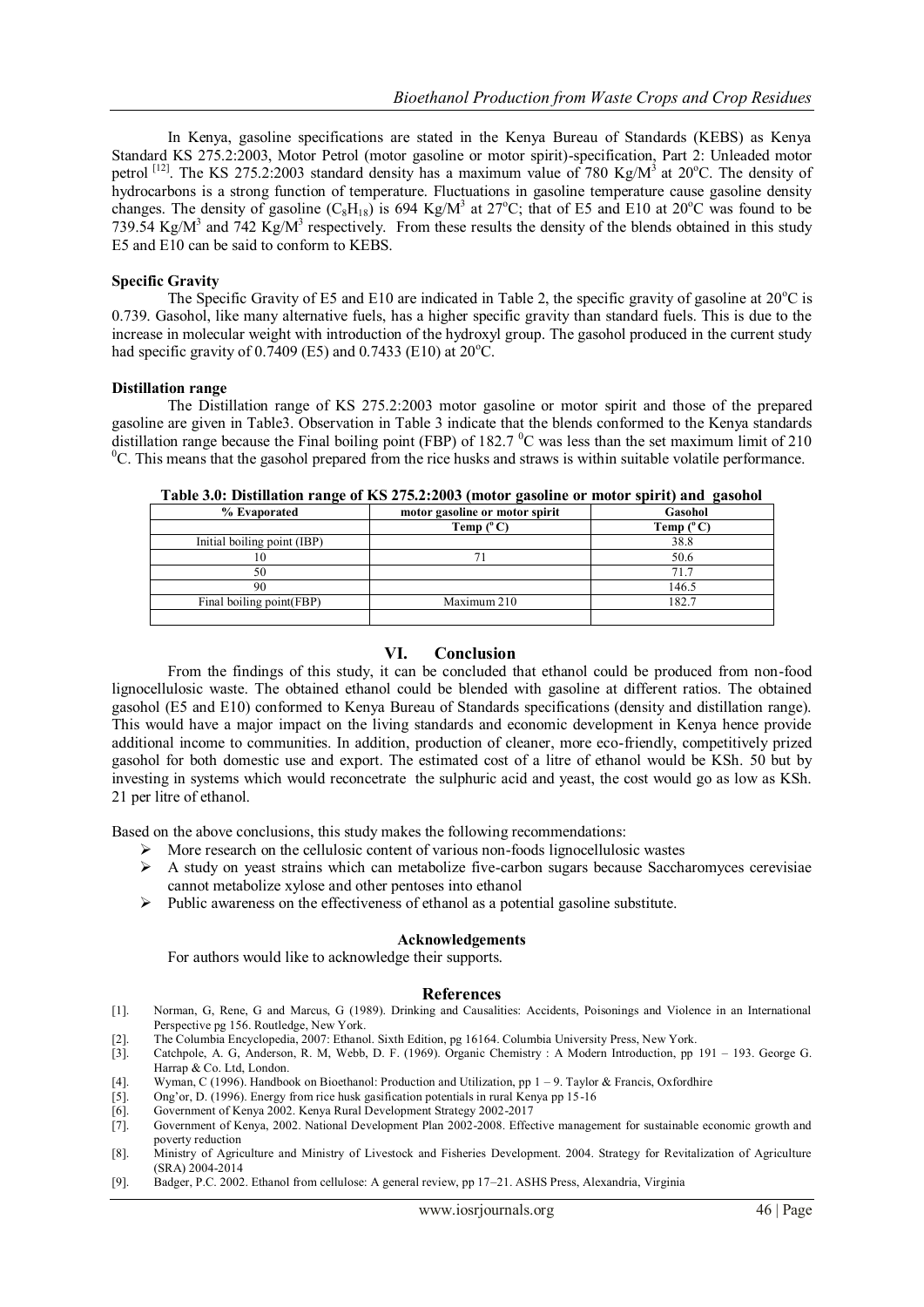In Kenya, gasoline specifications are stated in the Kenya Bureau of Standards (KEBS) as Kenya Standard KS 275.2:2003, Motor Petrol (motor gasoline or motor spirit)-specification, Part 2: Unleaded motor petrol <sup>[12]</sup>. The KS 275.2:2003 standard density has a maximum value of 780 Kg/M<sup>3</sup> at 20<sup>o</sup>C. The density of hydrocarbons is a strong function of temperature. Fluctuations in gasoline temperature cause gasoline density changes. The density of gasoline  $(C_8H_{18})$  is 694 Kg/M<sup>3</sup> at 27°C; that of E5 and E10 at 20°C was found to be 739.54 Kg/M<sup>3</sup> and 742 Kg/M<sup>3</sup> respectively. From these results the density of the blends obtained in this study E5 and E10 can be said to conform to KEBS.

#### **Specific Gravity**

The Specific Gravity of E5 and E10 are indicated in Table 2, the specific gravity of gasoline at  $20^{\circ}$ C is 0.739. Gasohol, like many alternative fuels, has a higher specific gravity than standard fuels. This is due to the increase in molecular weight with introduction of the hydroxyl group. The gasohol produced in the current study had specific gravity of  $0.7409$  (E5) and  $0.7433$  (E10) at  $20^{\circ}$ C.

#### **Distillation range**

The Distillation range of KS 275.2:2003 motor gasoline or motor spirit and those of the prepared gasoline are given in Table3. Observation in Table 3 indicate that the blends conformed to the Kenya standards distillation range because the Final boiling point (FBP) of 182.7  $\rm{^0C}$  was less than the set maximum limit of 210  $\rm{^{0}C}$ . This means that the gasohol prepared from the rice husks and straws is within suitable volatile performance.

| o                           | $\overline{\phantom{a}}$       | $\overline{\phantom{a}}$ |
|-----------------------------|--------------------------------|--------------------------|
| % Evaporated                | motor gasoline or motor spirit | Gasohol                  |
|                             | Temp $(^{\circ}C)$             | Temp $(^{\circ}C)$       |
| Initial boiling point (IBP) |                                | 38.8                     |
| ΙU                          |                                | 50.6                     |
| 50                          |                                | 71.7                     |
| 90                          |                                | 146.5                    |
| Final boiling point (FBP)   | Maximum 210                    | 182.7                    |
|                             |                                |                          |

**Table 3.0: Distillation range of KS 275.2:2003 (motor gasoline or motor spirit) and gasohol**

#### **VI. Conclusion**

From the findings of this study, it can be concluded that ethanol could be produced from non-food lignocellulosic waste. The obtained ethanol could be blended with gasoline at different ratios. The obtained gasohol (E5 and E10) conformed to Kenya Bureau of Standards specifications (density and distillation range). This would have a major impact on the living standards and economic development in Kenya hence provide additional income to communities. In addition, production of cleaner, more eco-friendly, competitively prized gasohol for both domestic use and export. The estimated cost of a litre of ethanol would be KSh. 50 but by investing in systems which would reconcetrate the sulphuric acid and yeast, the cost would go as low as KSh. 21 per litre of ethanol.

Based on the above conclusions, this study makes the following recommendations:

- More research on the cellulosic content of various non-foods lignocellulosic wastes
- $\triangleright$  A study on yeast strains which can metabolize five-carbon sugars because Saccharomyces cerevisiae cannot metabolize xylose and other pentoses into ethanol
- $\triangleright$  Public awareness on the effectiveness of ethanol as a potential gasoline substitute.

#### **Acknowledgements**

For authors would like to acknowledge their supports.

#### **References**

- [1]. Norman, G, Rene, G and Marcus, G (1989). Drinking and Causalities: Accidents, Poisonings and Violence in an International Perspective pg 156. Routledge, New York.
- [2]. The Columbia Encyclopedia, 2007: Ethanol. Sixth Edition, pg 16164. Columbia University Press, New York.<br>[3]. Catchpole, A. G. Anderson, R. M. Webb, D. F. (1969). Organic Chemistry: A Modern Introduction, pp.
- [3]. Catchpole, A. G, Anderson, R. M, Webb, D. F. (1969). Organic Chemistry : A Modern Introduction, pp 191 193. George G. Harrap & Co. Ltd, London.
- [4]. Wyman, C (1996). Handbook on Bioethanol: Production and Utilization, pp 1 9. Taylor & Francis, Oxfordhire
- [5]. Ong'or, D. (1996). Energy from rice husk gasification potentials in rural Kenya pp 15-16
- [6]. Government of Kenya 2002. Kenya Rural Development Strategy 2002-2017
- [7]. Government of Kenya, 2002. National Development Plan 2002-2008. Effective management for sustainable economic growth and poverty reduction
- [8]. Ministry of Agriculture and Ministry of Livestock and Fisheries Development. 2004. Strategy for Revitalization of Agriculture (SRA) 2004-2014
- [9]. Badger, P.C. 2002. Ethanol from cellulose: A general review, pp 17–21. ASHS Press, Alexandria, Virginia